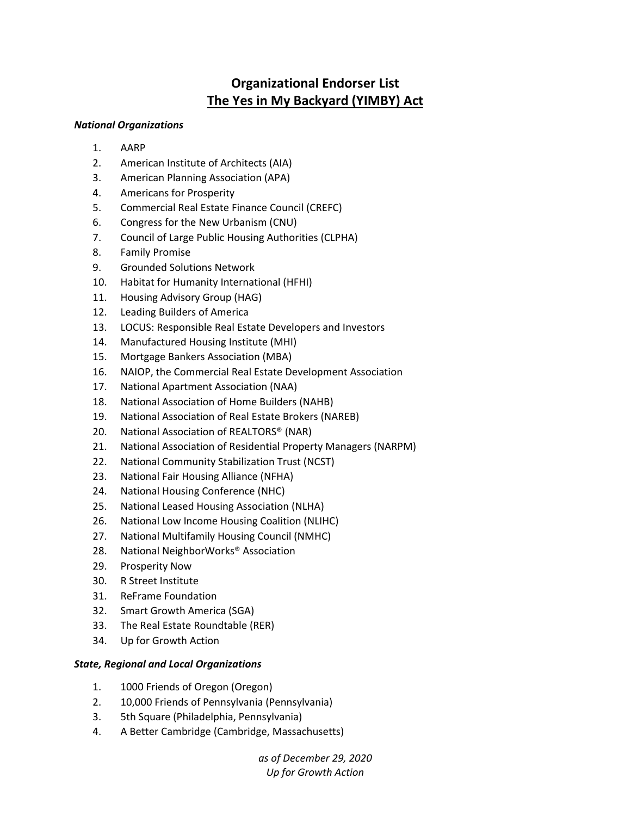## **Organizational Endorser List The Yes in My Backyard (YIMBY) Act**

## *National Organizations*

- 1. AARP
- 2. American Institute of Architects (AIA)
- 3. American Planning Association (APA)
- 4. Americans for Prosperity
- 5. Commercial Real Estate Finance Council (CREFC)
- 6. Congress for the New Urbanism (CNU)
- 7. Council of Large Public Housing Authorities (CLPHA)
- 8. Family Promise
- 9. Grounded Solutions Network
- 10. Habitat for Humanity International (HFHI)
- 11. Housing Advisory Group (HAG)
- 12. Leading Builders of America
- 13. LOCUS: Responsible Real Estate Developers and Investors
- 14. Manufactured Housing Institute (MHI)
- 15. Mortgage Bankers Association (MBA)
- 16. NAIOP, the Commercial Real Estate Development Association
- 17. National Apartment Association (NAA)
- 18. National Association of Home Builders (NAHB)
- 19. National Association of Real Estate Brokers (NAREB)
- 20. National Association of REALTORS® (NAR)
- 21. National Association of Residential Property Managers (NARPM)
- 22. National Community Stabilization Trust (NCST)
- 23. National Fair Housing Alliance (NFHA)
- 24. National Housing Conference (NHC)
- 25. National Leased Housing Association (NLHA)
- 26. National Low Income Housing Coalition (NLIHC)
- 27. National Multifamily Housing Council (NMHC)
- 28. National NeighborWorks® Association
- 29. Prosperity Now
- 30. R Street Institute
- 31. ReFrame Foundation
- 32. Smart Growth America (SGA)
- 33. The Real Estate Roundtable (RER)
- 34. Up for Growth Action

## *State, Regional and Local Organizations*

- 1. 1000 Friends of Oregon (Oregon)
- 2. 10,000 Friends of Pennsylvania (Pennsylvania)
- 3. 5th Square (Philadelphia, Pennsylvania)
- 4. A Better Cambridge (Cambridge, Massachusetts)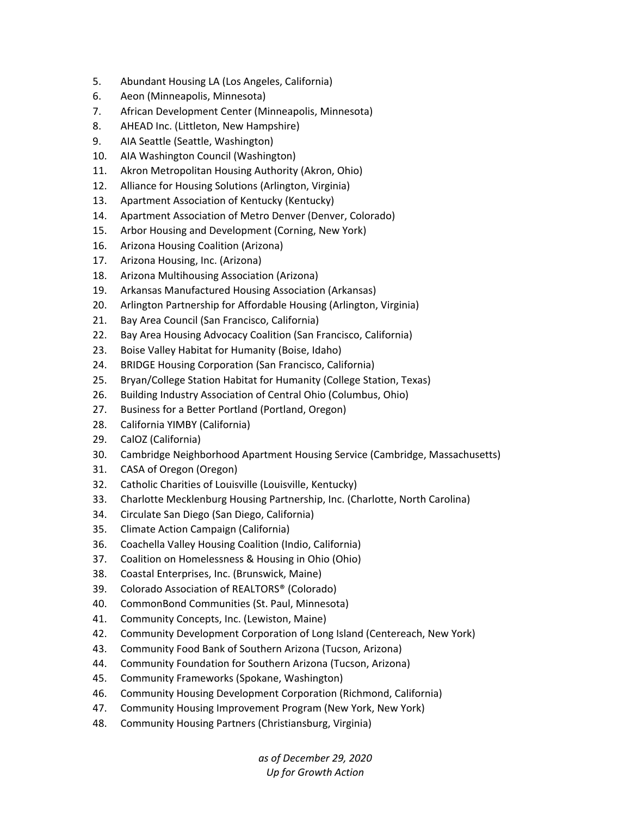- 5. Abundant Housing LA (Los Angeles, California)
- 6. Aeon (Minneapolis, Minnesota)
- 7. African Development Center (Minneapolis, Minnesota)
- 8. AHEAD Inc. (Littleton, New Hampshire)
- 9. AIA Seattle (Seattle, Washington)
- 10. AIA Washington Council (Washington)
- 11. Akron Metropolitan Housing Authority (Akron, Ohio)
- 12. Alliance for Housing Solutions (Arlington, Virginia)
- 13. Apartment Association of Kentucky (Kentucky)
- 14. Apartment Association of Metro Denver (Denver, Colorado)
- 15. Arbor Housing and Development (Corning, New York)
- 16. Arizona Housing Coalition (Arizona)
- 17. Arizona Housing, Inc. (Arizona)
- 18. Arizona Multihousing Association (Arizona)
- 19. Arkansas Manufactured Housing Association (Arkansas)
- 20. Arlington Partnership for Affordable Housing (Arlington, Virginia)
- 21. Bay Area Council (San Francisco, California)
- 22. Bay Area Housing Advocacy Coalition (San Francisco, California)
- 23. Boise Valley Habitat for Humanity (Boise, Idaho)
- 24. BRIDGE Housing Corporation (San Francisco, California)
- 25. Bryan/College Station Habitat for Humanity (College Station, Texas)
- 26. Building Industry Association of Central Ohio (Columbus, Ohio)
- 27. Business for a Better Portland (Portland, Oregon)
- 28. California YIMBY (California)
- 29. CalOZ (California)
- 30. Cambridge Neighborhood Apartment Housing Service (Cambridge, Massachusetts)
- 31. CASA of Oregon (Oregon)
- 32. Catholic Charities of Louisville (Louisville, Kentucky)
- 33. Charlotte Mecklenburg Housing Partnership, Inc. (Charlotte, North Carolina)
- 34. Circulate San Diego (San Diego, California)
- 35. Climate Action Campaign (California)
- 36. Coachella Valley Housing Coalition (Indio, California)
- 37. Coalition on Homelessness & Housing in Ohio (Ohio)
- 38. Coastal Enterprises, Inc. (Brunswick, Maine)
- 39. Colorado Association of REALTORS® (Colorado)
- 40. CommonBond Communities (St. Paul, Minnesota)
- 41. Community Concepts, Inc. (Lewiston, Maine)
- 42. Community Development Corporation of Long Island (Centereach, New York)
- 43. Community Food Bank of Southern Arizona (Tucson, Arizona)
- 44. Community Foundation for Southern Arizona (Tucson, Arizona)
- 45. Community Frameworks (Spokane, Washington)
- 46. Community Housing Development Corporation (Richmond, California)
- 47. Community Housing Improvement Program (New York, New York)
- 48. Community Housing Partners (Christiansburg, Virginia)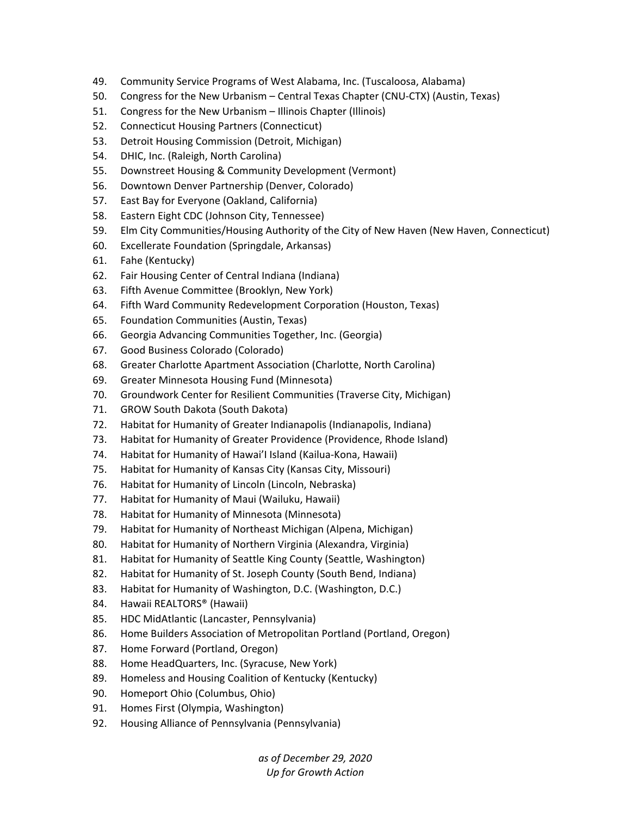- 49. Community Service Programs of West Alabama, Inc. (Tuscaloosa, Alabama)
- 50. Congress for the New Urbanism Central Texas Chapter (CNU‐CTX) (Austin, Texas)
- 51. Congress for the New Urbanism Illinois Chapter (Illinois)
- 52. Connecticut Housing Partners (Connecticut)
- 53. Detroit Housing Commission (Detroit, Michigan)
- 54. DHIC, Inc. (Raleigh, North Carolina)
- 55. Downstreet Housing & Community Development (Vermont)
- 56. Downtown Denver Partnership (Denver, Colorado)
- 57. East Bay for Everyone (Oakland, California)
- 58. Eastern Eight CDC (Johnson City, Tennessee)
- 59. Elm City Communities/Housing Authority of the City of New Haven (New Haven, Connecticut)
- 60. Excellerate Foundation (Springdale, Arkansas)
- 61. Fahe (Kentucky)
- 62. Fair Housing Center of Central Indiana (Indiana)
- 63. Fifth Avenue Committee (Brooklyn, New York)
- 64. Fifth Ward Community Redevelopment Corporation (Houston, Texas)
- 65. Foundation Communities (Austin, Texas)
- 66. Georgia Advancing Communities Together, Inc. (Georgia)
- 67. Good Business Colorado (Colorado)
- 68. Greater Charlotte Apartment Association (Charlotte, North Carolina)
- 69. Greater Minnesota Housing Fund (Minnesota)
- 70. Groundwork Center for Resilient Communities (Traverse City, Michigan)
- 71. GROW South Dakota (South Dakota)
- 72. Habitat for Humanity of Greater Indianapolis (Indianapolis, Indiana)
- 73. Habitat for Humanity of Greater Providence (Providence, Rhode Island)
- 74. Habitat for Humanity of Hawai'I Island (Kailua‐Kona, Hawaii)
- 75. Habitat for Humanity of Kansas City (Kansas City, Missouri)
- 76. Habitat for Humanity of Lincoln (Lincoln, Nebraska)
- 77. Habitat for Humanity of Maui (Wailuku, Hawaii)
- 78. Habitat for Humanity of Minnesota (Minnesota)
- 79. Habitat for Humanity of Northeast Michigan (Alpena, Michigan)
- 80. Habitat for Humanity of Northern Virginia (Alexandra, Virginia)
- 81. Habitat for Humanity of Seattle King County (Seattle, Washington)
- 82. Habitat for Humanity of St. Joseph County (South Bend, Indiana)
- 83. Habitat for Humanity of Washington, D.C. (Washington, D.C.)
- 84. Hawaii REALTORS® (Hawaii)
- 85. HDC MidAtlantic (Lancaster, Pennsylvania)
- 86. Home Builders Association of Metropolitan Portland (Portland, Oregon)
- 87. Home Forward (Portland, Oregon)
- 88. Home HeadQuarters, Inc. (Syracuse, New York)
- 89. Homeless and Housing Coalition of Kentucky (Kentucky)
- 90. Homeport Ohio (Columbus, Ohio)
- 91. Homes First (Olympia, Washington)
- 92. Housing Alliance of Pennsylvania (Pennsylvania)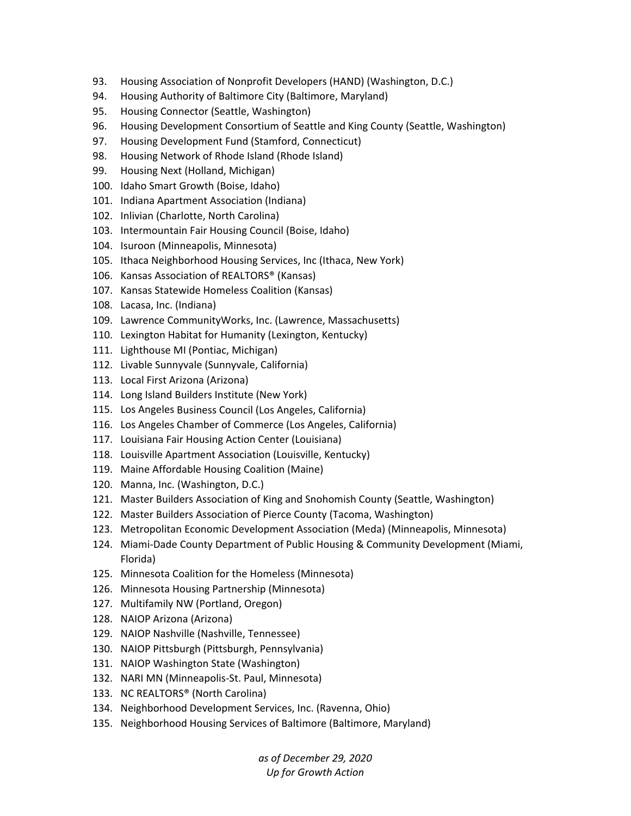- 93. Housing Association of Nonprofit Developers (HAND) (Washington, D.C.)
- 94. Housing Authority of Baltimore City (Baltimore, Maryland)
- 95. Housing Connector (Seattle, Washington)
- 96. Housing Development Consortium of Seattle and King County (Seattle, Washington)
- 97. Housing Development Fund (Stamford, Connecticut)
- 98. Housing Network of Rhode Island (Rhode Island)
- 99. Housing Next (Holland, Michigan)
- 100. Idaho Smart Growth (Boise, Idaho)
- 101. Indiana Apartment Association (Indiana)
- 102. Inlivian (Charlotte, North Carolina)
- 103. Intermountain Fair Housing Council (Boise, Idaho)
- 104. Isuroon (Minneapolis, Minnesota)
- 105. Ithaca Neighborhood Housing Services, Inc (Ithaca, New York)
- 106. Kansas Association of REALTORS® (Kansas)
- 107. Kansas Statewide Homeless Coalition (Kansas)
- 108. Lacasa, Inc. (Indiana)
- 109. Lawrence CommunityWorks, Inc. (Lawrence, Massachusetts)
- 110. Lexington Habitat for Humanity (Lexington, Kentucky)
- 111. Lighthouse MI (Pontiac, Michigan)
- 112. Livable Sunnyvale (Sunnyvale, California)
- 113. Local First Arizona (Arizona)
- 114. Long Island Builders Institute (New York)
- 115. Los Angeles Business Council (Los Angeles, California)
- 116. Los Angeles Chamber of Commerce (Los Angeles, California)
- 117. Louisiana Fair Housing Action Center (Louisiana)
- 118. Louisville Apartment Association (Louisville, Kentucky)
- 119. Maine Affordable Housing Coalition (Maine)
- 120. Manna, Inc. (Washington, D.C.)
- 121. Master Builders Association of King and Snohomish County (Seattle, Washington)
- 122. Master Builders Association of Pierce County (Tacoma, Washington)
- 123. Metropolitan Economic Development Association (Meda) (Minneapolis, Minnesota)
- 124. Miami‐Dade County Department of Public Housing & Community Development (Miami, Florida)
- 125. Minnesota Coalition for the Homeless (Minnesota)
- 126. Minnesota Housing Partnership (Minnesota)
- 127. Multifamily NW (Portland, Oregon)
- 128. NAIOP Arizona (Arizona)
- 129. NAIOP Nashville (Nashville, Tennessee)
- 130. NAIOP Pittsburgh (Pittsburgh, Pennsylvania)
- 131. NAIOP Washington State (Washington)
- 132. NARI MN (Minneapolis‐St. Paul, Minnesota)
- 133. NC REALTORS® (North Carolina)
- 134. Neighborhood Development Services, Inc. (Ravenna, Ohio)
- 135. Neighborhood Housing Services of Baltimore (Baltimore, Maryland)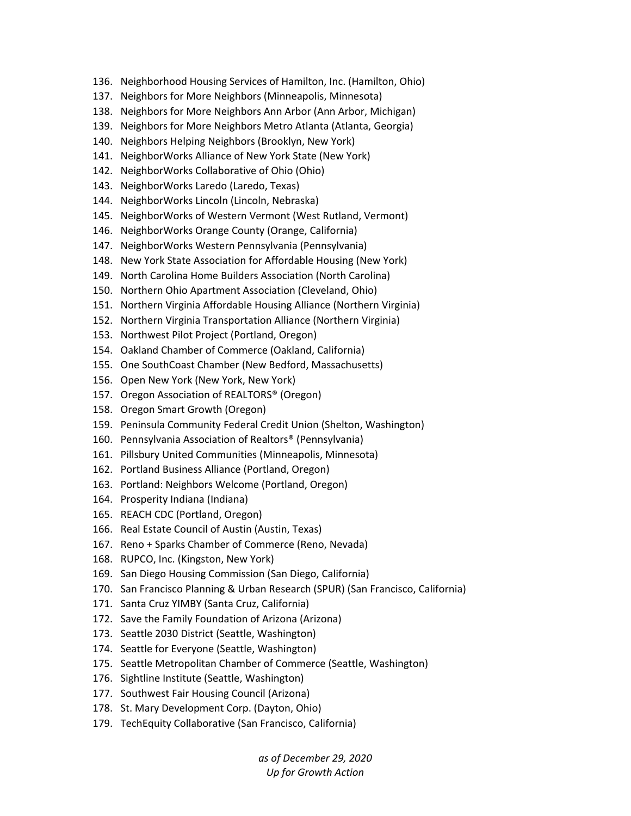- 136. Neighborhood Housing Services of Hamilton, Inc. (Hamilton, Ohio)
- 137. Neighbors for More Neighbors (Minneapolis, Minnesota)
- 138. Neighbors for More Neighbors Ann Arbor (Ann Arbor, Michigan)
- 139. Neighbors for More Neighbors Metro Atlanta (Atlanta, Georgia)
- 140. Neighbors Helping Neighbors (Brooklyn, New York)
- 141. NeighborWorks Alliance of New York State (New York)
- 142. NeighborWorks Collaborative of Ohio (Ohio)
- 143. NeighborWorks Laredo (Laredo, Texas)
- 144. NeighborWorks Lincoln (Lincoln, Nebraska)
- 145. NeighborWorks of Western Vermont (West Rutland, Vermont)
- 146. NeighborWorks Orange County (Orange, California)
- 147. NeighborWorks Western Pennsylvania (Pennsylvania)
- 148. New York State Association for Affordable Housing (New York)
- 149. North Carolina Home Builders Association (North Carolina)
- 150. Northern Ohio Apartment Association (Cleveland, Ohio)
- 151. Northern Virginia Affordable Housing Alliance (Northern Virginia)
- 152. Northern Virginia Transportation Alliance (Northern Virginia)
- 153. Northwest Pilot Project (Portland, Oregon)
- 154. Oakland Chamber of Commerce (Oakland, California)
- 155. One SouthCoast Chamber (New Bedford, Massachusetts)
- 156. Open New York (New York, New York)
- 157. Oregon Association of REALTORS® (Oregon)
- 158. Oregon Smart Growth (Oregon)
- 159. Peninsula Community Federal Credit Union (Shelton, Washington)
- 160. Pennsylvania Association of Realtors® (Pennsylvania)
- 161. Pillsbury United Communities (Minneapolis, Minnesota)
- 162. Portland Business Alliance (Portland, Oregon)
- 163. Portland: Neighbors Welcome (Portland, Oregon)
- 164. Prosperity Indiana (Indiana)
- 165. REACH CDC (Portland, Oregon)
- 166. Real Estate Council of Austin (Austin, Texas)
- 167. Reno + Sparks Chamber of Commerce (Reno, Nevada)
- 168. RUPCO, Inc. (Kingston, New York)
- 169. San Diego Housing Commission (San Diego, California)
- 170. San Francisco Planning & Urban Research (SPUR) (San Francisco, California)
- 171. Santa Cruz YIMBY (Santa Cruz, California)
- 172. Save the Family Foundation of Arizona (Arizona)
- 173. Seattle 2030 District (Seattle, Washington)
- 174. Seattle for Everyone (Seattle, Washington)
- 175. Seattle Metropolitan Chamber of Commerce (Seattle, Washington)
- 176. Sightline Institute (Seattle, Washington)
- 177. Southwest Fair Housing Council (Arizona)
- 178. St. Mary Development Corp. (Dayton, Ohio)
- 179. TechEquity Collaborative (San Francisco, California)